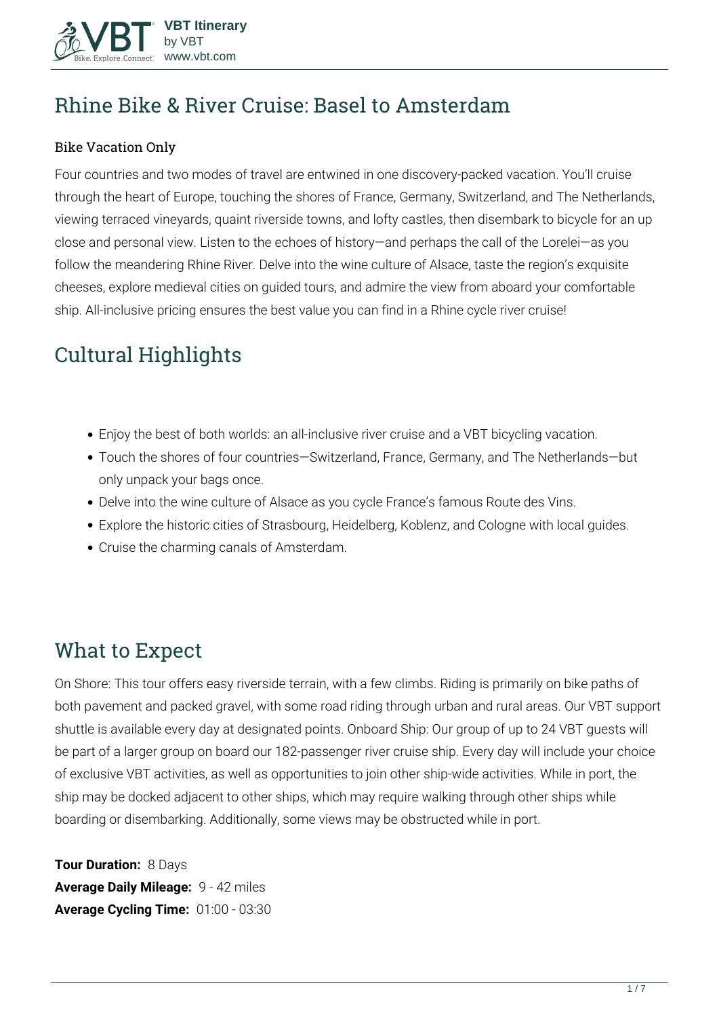

# **Rhine Bike & River Cruise: Basel to Amsterdam**

#### Bike Vacation Only

Four countries and two modes of travel are entwined in one discovery-packed vacation. You'll cruise through the heart of Europe, touching the shores of France, Germany, Switzerland, and The Netherlands, viewing terraced vineyards, quaint riverside towns, and lofty castles, then disembark to bicycle for an up close and personal view. Listen to the echoes of history—and perhaps the call of the Lorelei—as you follow the meandering Rhine River. Delve into the wine culture of Alsace, taste the region's exquisite cheeses, explore medieval cities on guided tours, and admire the view from aboard your comfortable ship. All-inclusive pricing ensures the best value you can find in a Rhine cycle river cruise!

# **Cultural Highlights**

- Enjoy the best of both worlds: an all-inclusive river cruise and a VBT bicycling vacation.
- Touch the shores of four countries—Switzerland, France, Germany, and The Netherlands—but only unpack your bags once.
- Delve into the wine culture of Alsace as you cycle France's famous Route des Vins.
- Explore the historic cities of Strasbourg, Heidelberg, Koblenz, and Cologne with local guides.
- Cruise the charming canals of Amsterdam.

## **What to Expect**

On Shore: This tour offers easy riverside terrain, with a few climbs. Riding is primarily on bike paths of both pavement and packed gravel, with some road riding through urban and rural areas. Our VBT support shuttle is available every day at designated points. Onboard Ship: Our group of up to 24 VBT guests will be part of a larger group on board our 182-passenger river cruise ship. Every day will include your choice of exclusive VBT activities, as well as opportunities to join other ship-wide activities. While in port, the ship may be docked adjacent to other ships, which may require walking through other ships while boarding or disembarking. Additionally, some views may be obstructed while in port.

**Tour Duration:** 8 Days **Average Daily Mileage:** 9 - 42 miles **Average Cycling Time:** 01:00 - 03:30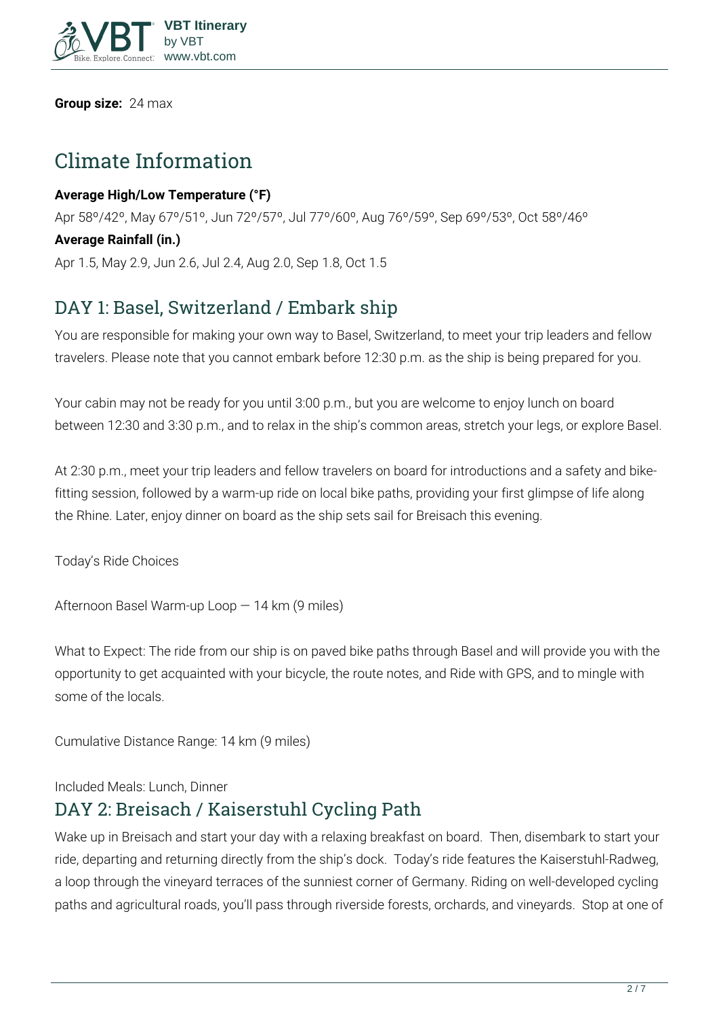

**Group size:** 24 max

## **Climate Information**

#### **Average High/Low Temperature (°F)**

Apr 58º/42º, May 67º/51º, Jun 72º/57º, Jul 77º/60º, Aug 76º/59º, Sep 69º/53º, Oct 58º/46º

#### **Average Rainfall (in.)**

Apr 1.5, May 2.9, Jun 2.6, Jul 2.4, Aug 2.0, Sep 1.8, Oct 1.5

### **DAY 1: Basel, Switzerland / Embark ship**

You are responsible for making your own way to Basel, Switzerland, to meet your trip leaders and fellow travelers. Please note that you cannot embark before 12:30 p.m. as the ship is being prepared for you.

Your cabin may not be ready for you until 3:00 p.m., but you are welcome to enjoy lunch on board between 12:30 and 3:30 p.m., and to relax in the ship's common areas, stretch your legs, or explore Basel.

At 2:30 p.m., meet your trip leaders and fellow travelers on board for introductions and a safety and bikefitting session, followed by a warm-up ride on local bike paths, providing your first glimpse of life along the Rhine. Later, enjoy dinner on board as the ship sets sail for Breisach this evening.

**Today's Ride Choices**

**Afternoon** Basel Warm-up Loop — 14 km (9 miles)

**What to Expect:** The ride from our ship is on paved bike paths through Basel and will provide you with the opportunity to get acquainted with your bicycle, the route notes, and Ride with GPS, and to mingle with some of the locals.

**Cumulative Distance Range:** 14 km (9 miles)

**Included Meals:** Lunch, Dinner

#### **DAY 2: Breisach / Kaiserstuhl Cycling Path**

Wake up in Breisach and start your day with a relaxing breakfast on board. Then, disembark to start your ride, departing and returning directly from the ship's dock. Today's ride features the Kaiserstuhl-Radweg, a loop through the vineyard terraces of the sunniest corner of Germany. Riding on well-developed cycling paths and agricultural roads, you'll pass through riverside forests, orchards, and vineyards. Stop at one of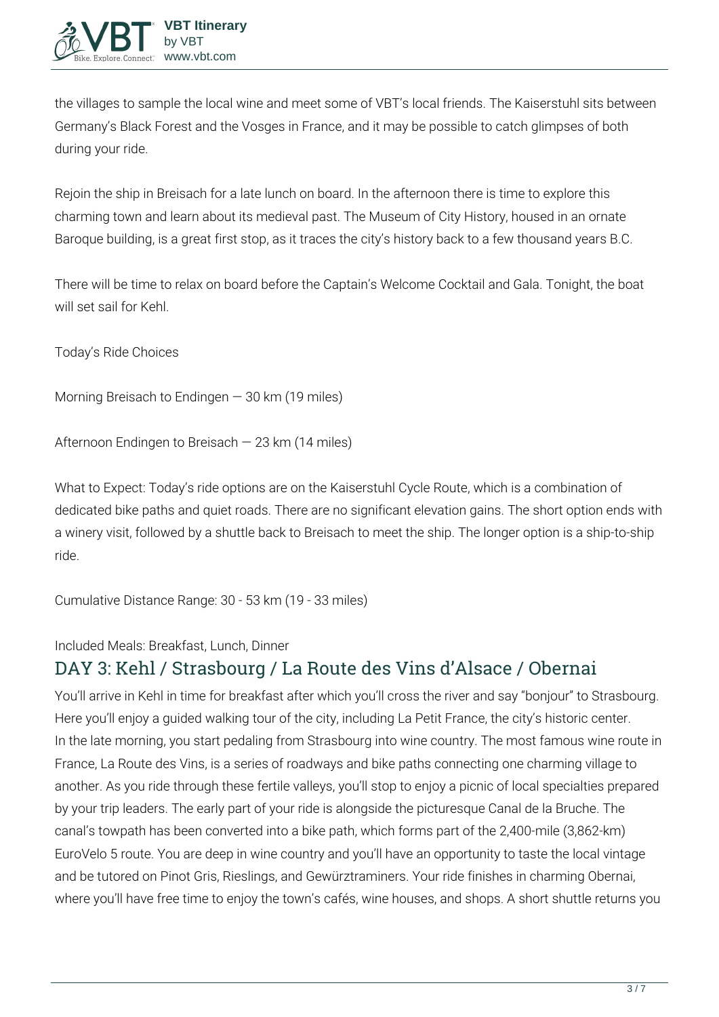the villages to sample the local wine and meet some of VBT's local friends. The Kaiserstuhl sits between Germany's Black Forest and the Vosges in France, and it may be possible to catch glimpses of both during your ride.

Rejoin the ship in Breisach for a late lunch on board. In the afternoon there is time to explore this charming town and learn about its medieval past. The Museum of City History, housed in an ornate Baroque building, is a great first stop, as it traces the city's history back to a few thousand years B.C.

There will be time to relax on board before the Captain's Welcome Cocktail and Gala. Tonight, the boat will set sail for Kehl.

**Today's Ride Choices**

**Morning** Breisach to Endingen — 30 km (19 miles)

**Afternoon** Endingen to Breisach — 23 km (14 miles)

**What to Expect:** Today's ride options are on the Kaiserstuhl Cycle Route, which is a combination of dedicated bike paths and quiet roads. There are no significant elevation gains. The short option ends with a winery visit, followed by a shuttle back to Breisach to meet the ship. The longer option is a ship-to-ship ride.

**Cumulative Distance Range:** 30 - 53 km (19 - 33 miles)

**Included Meals:** Breakfast, Lunch, Dinner

### **DAY 3: Kehl / Strasbourg / La Route des Vins d'Alsace / Obernai**

You'll arrive in Kehl in time for breakfast after which you'll cross the river and say "bonjour" to Strasbourg. Here you'll enjoy a guided walking tour of the city, including La Petit France, the city's historic center. In the late morning, you start pedaling from Strasbourg into wine country. The most famous wine route in France, La Route des Vins, is a series of roadways and bike paths connecting one charming village to another. As you ride through these fertile valleys, you'll stop to enjoy a picnic of local specialties prepared by your trip leaders. The early part of your ride is alongside the picturesque Canal de la Bruche. The canal's towpath has been converted into a bike path, which forms part of the 2,400-mile (3,862-km) EuroVelo 5 route. You are deep in wine country and you'll have an opportunity to taste the local vintage and be tutored on Pinot Gris, Rieslings, and Gewürztraminers. Your ride finishes in charming Obernai, where you'll have free time to enjoy the town's cafés, wine houses, and shops. A short shuttle returns you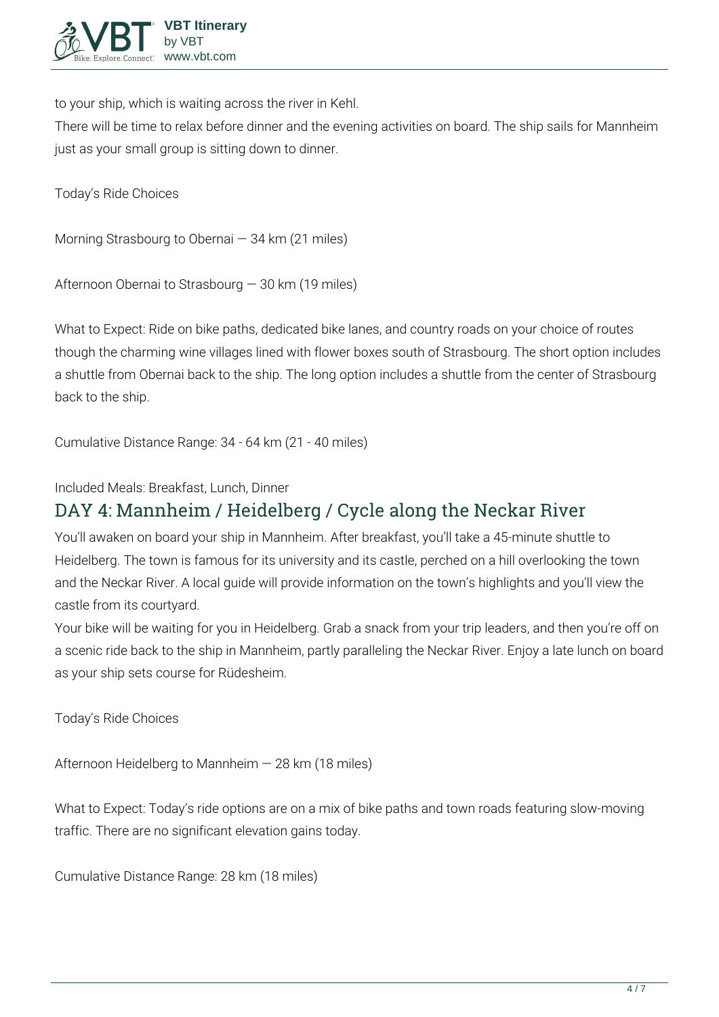

to your ship, which is waiting across the river in Kehl.

There will be time to relax before dinner and the evening activities on board. The ship sails for Mannheim just as your small group is sitting down to dinner.

**Today's Ride Choices**

**Morning** Strasbourg to Obernai — 34 km (21 miles)

**Afternoon** Obernai to Strasbourg — 30 km (19 miles)

**What to Expect:** Ride on bike paths, dedicated bike lanes, and country roads on your choice of routes though the charming wine villages lined with flower boxes south of Strasbourg. The short option includes a shuttle from Obernai back to the ship. The long option includes a shuttle from the center of Strasbourg back to the ship.

**Cumulative Distance Range:** 34 - 64 km (21 - 40 miles)

**Included Meals:** Breakfast, Lunch, Dinner

### **DAY 4: Mannheim / Heidelberg / Cycle along the Neckar River**

You'll awaken on board your ship in Mannheim. After breakfast, you'll take a 45-minute shuttle to Heidelberg. The town is famous for its university and its castle, perched on a hill overlooking the town and the Neckar River. A local guide will provide information on the town's highlights and you'll view the castle from its courtyard.

Your bike will be waiting for you in Heidelberg. Grab a snack from your trip leaders, and then you're off on a scenic ride back to the ship in Mannheim, partly paralleling the Neckar River. Enjoy a late lunch on board as your ship sets course for Rüdesheim.

**Today's Ride Choices**

**Afternoon** Heidelberg to Mannheim — 28 km (18 miles)

**What to Expect:** Today's ride options are on a mix of bike paths and town roads featuring slow-moving traffic. There are no significant elevation gains today.

**Cumulative Distance Range:** 28 km (18 miles)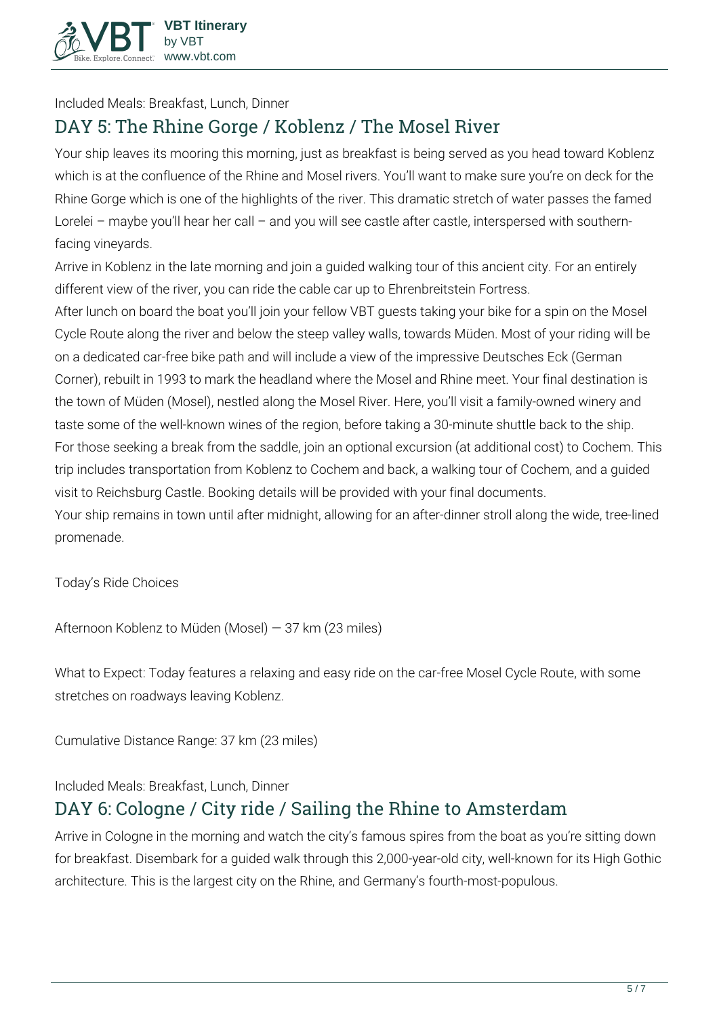

**Included Meals:** Breakfast, Lunch, Dinner

## **DAY 5: The Rhine Gorge / Koblenz / The Mosel River**

Your ship leaves its mooring this morning, just as breakfast is being served as you head toward Koblenz which is at the confluence of the Rhine and Mosel rivers. You'll want to make sure you're on deck for the Rhine Gorge which is one of the highlights of the river. This dramatic stretch of water passes the famed Lorelei – maybe you'll hear her call – and you will see castle after castle, interspersed with southernfacing vineyards.

Arrive in Koblenz in the late morning and join a guided walking tour of this ancient city. For an entirely different view of the river, you can ride the cable car up to Ehrenbreitstein Fortress.

After lunch on board the boat you'll join your fellow VBT guests taking your bike for a spin on the Mosel Cycle Route along the river and below the steep valley walls, towards Müden. Most of your riding will be on a dedicated car-free bike path and will include a view of the impressive Deutsches Eck (German Corner), rebuilt in 1993 to mark the headland where the Mosel and Rhine meet. Your final destination is the town of Müden (Mosel), nestled along the Mosel River. Here, you'll visit a family-owned winery and taste some of the well-known wines of the region, before taking a 30-minute shuttle back to the ship. For those seeking a break from the saddle, join an optional excursion (at additional cost) to Cochem. This trip includes transportation from Koblenz to Cochem and back, a walking tour of Cochem, and a guided visit to Reichsburg Castle. Booking details will be provided with your final documents.

Your ship remains in town until after midnight, allowing for an after-dinner stroll along the wide, tree-lined promenade.

**Today's Ride Choices**

**Afternoon** Koblenz to Müden (Mosel) — 37 km (23 miles)

**What to Expect:** Today features a relaxing and easy ride on the car-free Mosel Cycle Route, with some stretches on roadways leaving Koblenz.

**Cumulative Distance Range:** 37 km (23 miles)

**Included Meals:** Breakfast, Lunch, Dinner

### **DAY 6: Cologne / City ride / Sailing the Rhine to Amsterdam**

Arrive in Cologne in the morning and watch the city's famous spires from the boat as you're sitting down for breakfast. Disembark for a guided walk through this 2,000-year-old city, well-known for its High Gothic architecture. This is the largest city on the Rhine, and Germany's fourth-most-populous.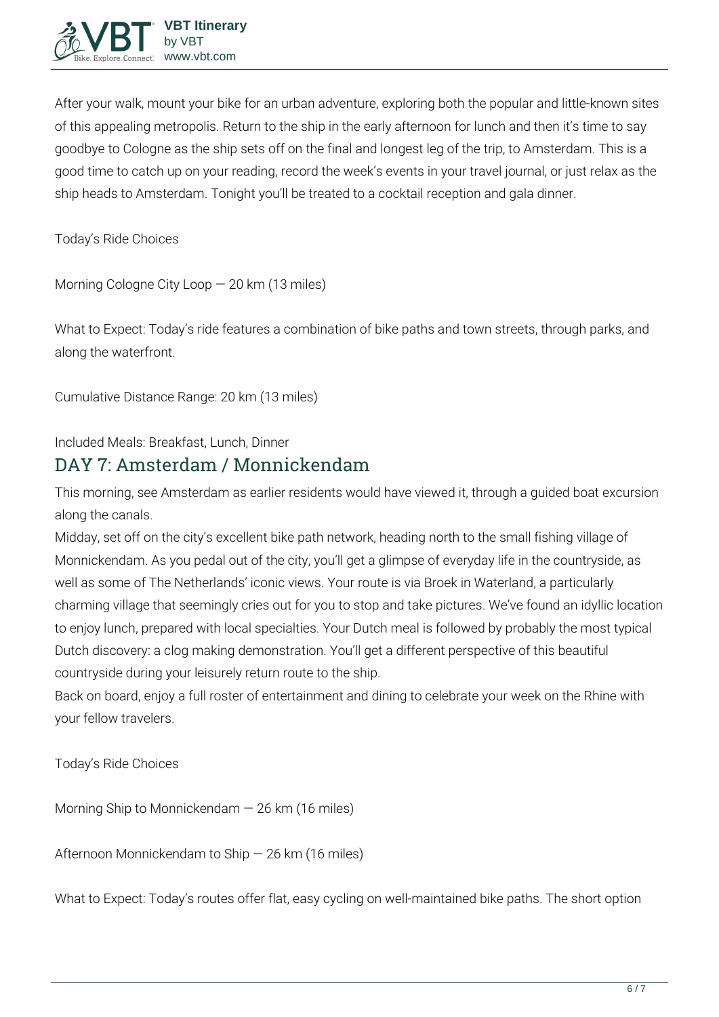

After your walk, mount your bike for an urban adventure, exploring both the popular and little-known sites of this appealing metropolis. Return to the ship in the early afternoon for lunch and then it's time to say goodbye to Cologne as the ship sets off on the final and longest leg of the trip, to Amsterdam. This is a good time to catch up on your reading, record the week's events in your travel journal, or just relax as the ship heads to Amsterdam. Tonight you'll be treated to a cocktail reception and gala dinner.

**Today's Ride Choices**

**Morning** Cologne City Loop — 20 km (13 miles)

**What to Expect:** Today's ride features a combination of bike paths and town streets, through parks, and along the waterfront.

**Cumulative Distance Range:** 20 km (13 miles)

**Included Meals:** Breakfast, Lunch, Dinner

#### **DAY 7: Amsterdam / Monnickendam**

This morning, see Amsterdam as earlier residents would have viewed it, through a guided boat excursion along the canals.

Midday, set off on the city's excellent bike path network, heading north to the small fishing village of Monnickendam. As you pedal out of the city, you'll get a glimpse of everyday life in the countryside, as well as some of The Netherlands' iconic views. Your route is via Broek in Waterland, a particularly charming village that seemingly cries out for you to stop and take pictures. We've found an idyllic location to enjoy lunch, prepared with local specialties. Your Dutch meal is followed by probably the most typical Dutch discovery: a clog making demonstration. You'll get a different perspective of this beautiful countryside during your leisurely return route to the ship.

Back on board, enjoy a full roster of entertainment and dining to celebrate your week on the Rhine with your fellow travelers.

**Today's Ride Choices**

**Morning** Ship to Monnickendam — 26 km (16 miles)

**Afternoon** Monnickendam to Ship — 26 km (16 miles)

**What to Expect:** Today's routes offer flat, easy cycling on well-maintained bike paths. The short option